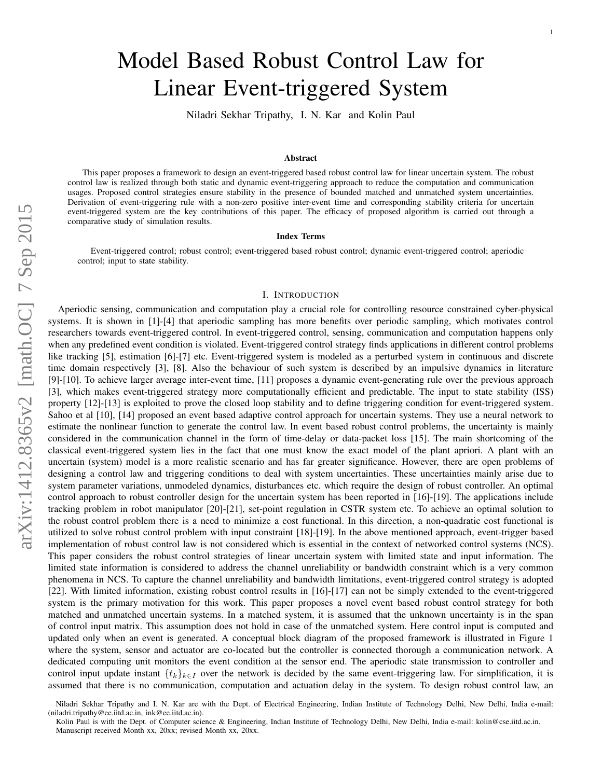# Model Based Robust Control Law for Linear Event-triggered System

Niladri Sekhar Tripathy, I. N. Kar and Kolin Paul

#### Abstract

This paper proposes a framework to design an event-triggered based robust control law for linear uncertain system. The robust control law is realized through both static and dynamic event-triggering approach to reduce the computation and communication usages. Proposed control strategies ensure stability in the presence of bounded matched and unmatched system uncertainties. Derivation of event-triggering rule with a non-zero positive inter-event time and corresponding stability criteria for uncertain event-triggered system are the key contributions of this paper. The efficacy of proposed algorithm is carried out through a comparative study of simulation results.

## Index Terms

Event-triggered control; robust control; event-triggered based robust control; dynamic event-triggered control; aperiodic control; input to state stability.

#### I. INTRODUCTION

Aperiodic sensing, communication and computation play a crucial role for controlling resource constrained cyber-physical systems. It is shown in [1]-[4] that aperiodic sampling has more benefits over periodic sampling, which motivates control researchers towards event-triggered control. In event-triggered control, sensing, communication and computation happens only when any predefined event condition is violated. Event-triggered control strategy finds applications in different control problems like tracking [5], estimation [6]-[7] etc. Event-triggered system is modeled as a perturbed system in continuous and discrete time domain respectively [3], [8]. Also the behaviour of such system is described by an impulsive dynamics in literature [9]-[10]. To achieve larger average inter-event time, [11] proposes a dynamic event-generating rule over the previous approach [3], which makes event-triggered strategy more computationally efficient and predictable. The input to state stability (ISS) property [12]-[13] is exploited to prove the closed loop stability and to define triggering condition for event-triggered system. Sahoo et al [10], [14] proposed an event based adaptive control approach for uncertain systems. They use a neural network to estimate the nonlinear function to generate the control law. In event based robust control problems, the uncertainty is mainly considered in the communication channel in the form of time-delay or data-packet loss [15]. The main shortcoming of the classical event-triggered system lies in the fact that one must know the exact model of the plant apriori. A plant with an uncertain (system) model is a more realistic scenario and has far greater significance. However, there are open problems of designing a control law and triggering conditions to deal with system uncertainties. These uncertainties mainly arise due to system parameter variations, unmodeled dynamics, disturbances etc. which require the design of robust controller. An optimal control approach to robust controller design for the uncertain system has been reported in [16]-[19]. The applications include tracking problem in robot manipulator [20]-[21], set-point regulation in CSTR system etc. To achieve an optimal solution to the robust control problem there is a need to minimize a cost functional. In this direction, a non-quadratic cost functional is utilized to solve robust control problem with input constraint [18]-[19]. In the above mentioned approach, event-trigger based implementation of robust control law is not considered which is essential in the context of networked control systems (NCS). This paper considers the robust control strategies of linear uncertain system with limited state and input information. The limited state information is considered to address the channel unreliability or bandwidth constraint which is a very common phenomena in NCS. To capture the channel unreliability and bandwidth limitations, event-triggered control strategy is adopted [22]. With limited information, existing robust control results in [16]-[17] can not be simply extended to the event-triggered system is the primary motivation for this work. This paper proposes a novel event based robust control strategy for both matched and unmatched uncertain systems. In a matched system, it is assumed that the unknown uncertainty is in the span of control input matrix. This assumption does not hold in case of the unmatched system. Here control input is computed and updated only when an event is generated. A conceptual block diagram of the proposed framework is illustrated in Figure 1 where the system, sensor and actuator are co-located but the controller is connected thorough a communication network. A dedicated computing unit monitors the event condition at the sensor end. The aperiodic state transmission to controller and control input update instant  $\{t_k\}_{k\in I}$  over the network is decided by the same event-triggering law. For simplification, it is assumed that there is no communication, computation and actuation delay in the system. To design robust control law, an

Niladri Sekhar Tripathy and I. N. Kar are with the Dept. of Electrical Engineering, Indian Institute of Technology Delhi, New Delhi, India e-mail: (niladri.tripathy@ee.iitd.ac.in, ink@ee.iitd.ac.in).

Kolin Paul is with the Dept. of Computer science & Engineering, Indian Institute of Technology Delhi, New Delhi, India e-mail: kolin@cse.iitd.ac.in. Manuscript received Month xx, 20xx; revised Month xx, 20xx.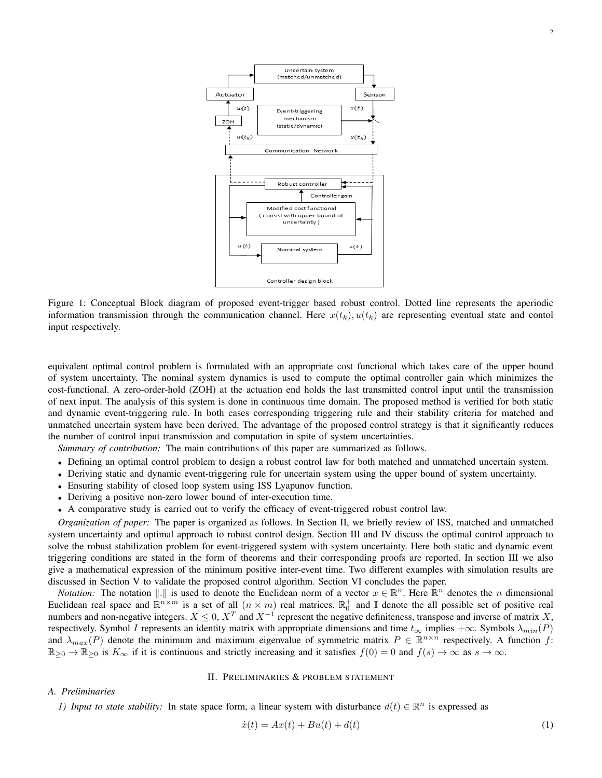

Figure 1: Conceptual Block diagram of proposed event-trigger based robust control. Dotted line represents the aperiodic information transmission through the communication channel. Here  $x(t_k)$ ,  $u(t_k)$  are representing eventual state and contol input respectively.

equivalent optimal control problem is formulated with an appropriate cost functional which takes care of the upper bound of system uncertainty. The nominal system dynamics is used to compute the optimal controller gain which minimizes the cost-functional. A zero-order-hold (ZOH) at the actuation end holds the last transmitted control input until the transmission of next input. The analysis of this system is done in continuous time domain. The proposed method is verified for both static and dynamic event-triggering rule. In both cases corresponding triggering rule and their stability criteria for matched and unmatched uncertain system have been derived. The advantage of the proposed control strategy is that it significantly reduces the number of control input transmission and computation in spite of system uncertainties.

*Summary of contribution:* The main contributions of this paper are summarized as follows.

- Defining an optimal control problem to design a robust control law for both matched and unmatched uncertain system.
- Deriving static and dynamic event-triggering rule for uncertain system using the upper bound of system uncertainty.
- Ensuring stability of closed loop system using ISS Lyapunov function.
- Deriving a positive non-zero lower bound of inter-execution time.
- A comparative study is carried out to verify the efficacy of event-triggered robust control law.

*Organization of paper:* The paper is organized as follows. In Section II, we briefly review of ISS, matched and unmatched system uncertainty and optimal approach to robust control design. Section III and IV discuss the optimal control approach to solve the robust stabilization problem for event-triggered system with system uncertainty. Here both static and dynamic event triggering conditions are stated in the form of theorems and their corresponding proofs are reported. In section III we also give a mathematical expression of the minimum positive inter-event time. Two different examples with simulation results are discussed in Section V to validate the proposed control algorithm. Section VI concludes the paper.

*Notation:* The notation  $\|.\|$  is used to denote the Euclidean norm of a vector  $x \in \mathbb{R}^n$ . Here  $\mathbb{R}^n$  denotes the *n* dimensional Euclidean real space and  $\mathbb{R}^{n \times m}$  is a set of all  $(n \times m)$  real matrices.  $\mathbb{R}^+_0$  and I denote the all possible set of positive real numbers and non-negative integers.  $X \le 0$ ,  $X^T$  and  $X^{-1}$  represent the negative definiteness, transpose and inverse of matrix X, respectively. Symbol I represents an identity matrix with appropriate dimensions and time  $t_{\infty}$  implies + $\infty$ . Symbols  $\lambda_{min}(P)$ and  $\lambda_{max}(P)$  denote the minimum and maximum eigenvalue of symmetric matrix  $P \in \mathbb{R}^{n \times n}$  respectively. A function f:  $\mathbb{R}_{>0} \to \mathbb{R}_{>0}$  is  $K_{\infty}$  if it is continuous and strictly increasing and it satisfies  $f(0) = 0$  and  $f(s) \to \infty$  as  $s \to \infty$ .

## II. PRELIMINARIES & PROBLEM STATEMENT

#### *A. Preliminaries*

*1) Input to state stability:* In state space form, a linear system with disturbance  $d(t) \in \mathbb{R}^n$  is expressed as

$$
\dot{x}(t) = Ax(t) + Bu(t) + d(t)
$$
\n(1)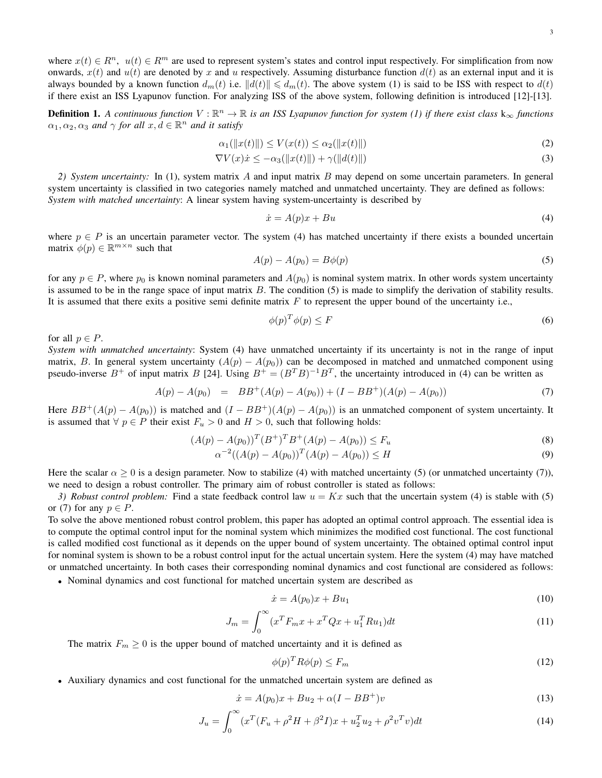where  $x(t) \in \mathbb{R}^n$ ,  $u(t) \in \mathbb{R}^m$  are used to represent system's states and control input respectively. For simplification from now onwards,  $x(t)$  and  $u(t)$  are denoted by x and u respectively. Assuming disturbance function  $d(t)$  as an external input and it is always bounded by a known function  $d_m(t)$  i.e.  $||d(t)|| \le d_m(t)$ . The above system (1) is said to be ISS with respect to  $d(t)$ if there exist an ISS Lyapunov function. For analyzing ISS of the above system, following definition is introduced [12]-[13].

**Definition 1.** A continuous function  $V : \mathbb{R}^n \to \mathbb{R}$  is an ISS Lyapunov function for system (1) if there exist class  $k_{\infty}$  functions  $\alpha_1, \alpha_2, \alpha_3$  *and*  $\gamma$  *for all*  $x, d \in \mathbb{R}^n$  *and it satisfy* 

$$
\alpha_1(\|x(t)\|) \le V(x(t)) \le \alpha_2(\|x(t)\|)
$$
\n(2)

$$
\nabla V(x)\dot{x} \le -\alpha_3(\|x(t)\|) + \gamma(\|d(t)\|) \tag{3}
$$

*2) System uncertainty:* In (1), system matrix A and input matrix B may depend on some uncertain parameters. In general system uncertainty is classified in two categories namely matched and unmatched uncertainty. They are defined as follows: *System with matched uncertainty*: A linear system having system-uncertainty is described by

$$
\dot{x} = A(p)x + Bu \tag{4}
$$

where  $p \in P$  is an uncertain parameter vector. The system (4) has matched uncertainty if there exists a bounded uncertain matrix  $\phi(p) \in \mathbb{R}^{m \times n}$  such that

$$
A(p) - A(p_0) = B\phi(p) \tag{5}
$$

for any  $p \in P$ , where  $p_0$  is known nominal parameters and  $A(p_0)$  is nominal system matrix. In other words system uncertainty is assumed to be in the range space of input matrix B. The condition (5) is made to simplify the derivation of stability results. It is assumed that there exits a positive semi definite matrix  $F$  to represent the upper bound of the uncertainty i.e.,

$$
\phi(p)^T \phi(p) \le F \tag{6}
$$

for all  $p \in P$ .

*System with unmatched uncertainty*: System (4) have unmatched uncertainty if its uncertainty is not in the range of input matrix, B. In general system uncertainty  $(A(p) - A(p_0))$  can be decomposed in matched and unmatched component using pseudo-inverse  $B^+$  of input matrix B [24]. Using  $B^+ = (B^T B)^{-1} B^T$ , the uncertainty introduced in (4) can be written as

$$
A(p) - A(p_0) = BB^+(A(p) - A(p_0)) + (I - BB^+)(A(p) - A(p_0))
$$
\n(7)

Here  $BB^+(A(p) - A(p_0))$  is matched and  $(I - BB^+)(A(p) - A(p_0))$  is an unmatched component of system uncertainty. It is assumed that  $\forall p \in P$  their exist  $F_u > 0$  and  $H > 0$ , such that following holds:

$$
(A(p) - A(p_0))^T (B^+)^T B^+(A(p) - A(p_0)) \le F_u
$$
\n(8)

$$
\alpha^{-2}((A(p) - A(p_0))^T(A(p) - A(p_0)) \le H
$$
\n(9)

Here the scalar  $\alpha \ge 0$  is a design parameter. Now to stabilize (4) with matched uncertainty (5) (or unmatched uncertainty (7)), we need to design a robust controller. The primary aim of robust controller is stated as follows:

*3) Robust control problem:* Find a state feedback control law  $u = Kx$  such that the uncertain system (4) is stable with (5) or (7) for any  $p \in P$ .

To solve the above mentioned robust control problem, this paper has adopted an optimal control approach. The essential idea is to compute the optimal control input for the nominal system which minimizes the modified cost functional. The cost functional is called modified cost functional as it depends on the upper bound of system uncertainty. The obtained optimal control input for nominal system is shown to be a robust control input for the actual uncertain system. Here the system (4) may have matched or unmatched uncertainty. In both cases their corresponding nominal dynamics and cost functional are considered as follows:

• Nominal dynamics and cost functional for matched uncertain system are described as

$$
\dot{x} = A(p_0)x + Bu_1\tag{10}
$$

$$
J_m = \int_0^\infty (x^T F_m x + x^T Q x + u_1^T R u_1) dt
$$
\n(11)

The matrix  $F_m \geq 0$  is the upper bound of matched uncertainty and it is defined as

$$
\phi(p)^T R \phi(p) \le F_m \tag{12}
$$

• Auxiliary dynamics and cost functional for the unmatched uncertain system are defined as

$$
\dot{x} = A(p_0)x + Bu_2 + \alpha(I - BB^+)v
$$
\n(13)

$$
J_u = \int_0^\infty (x^T (F_u + \rho^2 H + \beta^2 I)x + u_2^T u_2 + \rho^2 v^T v) dt
$$
\n(14)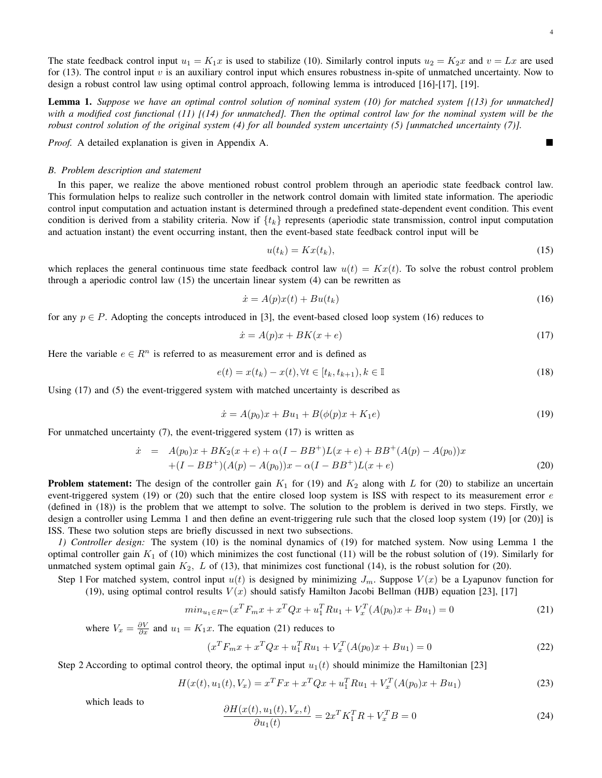The state feedback control input  $u_1 = K_1x$  is used to stabilize (10). Similarly control inputs  $u_2 = K_2x$  and  $v = Lx$  are used for (13). The control input  $v$  is an auxiliary control input which ensures robustness in-spite of unmatched uncertainty. Now to design a robust control law using optimal control approach, following lemma is introduced [16]-[17], [19].

Lemma 1. *Suppose we have an optimal control solution of nominal system (10) for matched system [(13) for unmatched] with a modified cost functional (11) [(14) for unmatched]. Then the optimal control law for the nominal system will be the robust control solution of the original system (4) for all bounded system uncertainty (5) [unmatched uncertainty (7)].*

*Proof.* A detailed explanation is given in Appendix A.

#### *B. Problem description and statement*

In this paper, we realize the above mentioned robust control problem through an aperiodic state feedback control law. This formulation helps to realize such controller in the network control domain with limited state information. The aperiodic control input computation and actuation instant is determined through a predefined state-dependent event condition. This event condition is derived from a stability criteria. Now if  $\{t_k\}$  represents (aperiodic state transmission, control input computation and actuation instant) the event occurring instant, then the event-based state feedback control input will be

$$
u(t_k) = Kx(t_k),\tag{15}
$$

which replaces the general continuous time state feedback control law  $u(t) = Kx(t)$ . To solve the robust control problem through a aperiodic control law  $(15)$  the uncertain linear system  $(4)$  can be rewritten as

$$
\dot{x} = A(p)x(t) + Bu(t_k) \tag{16}
$$

for any  $p \in P$ . Adopting the concepts introduced in [3], the event-based closed loop system (16) reduces to

$$
\dot{x} = A(p)x + BK(x + e) \tag{17}
$$

Here the variable  $e \in \mathbb{R}^n$  is referred to as measurement error and is defined as

$$
e(t) = x(t_k) - x(t), \forall t \in [t_k, t_{k+1}), k \in \mathbb{I}
$$
\n
$$
(18)
$$

Using (17) and (5) the event-triggered system with matched uncertainty is described as

$$
\dot{x} = A(p_0)x + Bu_1 + B(\phi(p)x + K_1e)
$$
\n(19)

For unmatched uncertainty (7), the event-triggered system (17) is written as

$$
\dot{x} = A(p_0)x + BK_2(x+e) + \alpha(I - BB^+)L(x+e) + BB^+(A(p) - A(p_0))x +(I - BB^+)(A(p) - A(p_0))x - \alpha(I - BB^+)L(x+e)
$$
\n(20)

**Problem statement:** The design of the controller gain  $K_1$  for (19) and  $K_2$  along with L for (20) to stabilize an uncertain event-triggered system (19) or (20) such that the entire closed loop system is ISS with respect to its measurement error  $e$ (defined in (18)) is the problem that we attempt to solve. The solution to the problem is derived in two steps. Firstly, we design a controller using Lemma 1 and then define an event-triggering rule such that the closed loop system (19) [or (20)] is ISS. These two solution steps are briefly discussed in next two subsections.

*1) Controller design:* The system (10) is the nominal dynamics of (19) for matched system. Now using Lemma 1 the optimal controller gain  $K_1$  of (10) which minimizes the cost functional (11) will be the robust solution of (19). Similarly for unmatched system optimal gain  $K_2$ , L of (13), that minimizes cost functional (14), is the robust solution for (20).

Step 1 For matched system, control input  $u(t)$  is designed by minimizing  $J_m$ . Suppose  $V(x)$  be a Lyapunov function for (19), using optimal control results  $V(x)$  should satisfy Hamilton Jacobi Bellman (HJB) equation [23], [17]

$$
min_{u_1 \in R^m} (x^T F_m x + x^T Q x + u_1^T R u_1 + V_x^T (A(p_0) x + B u_1) = 0
$$
\n(21)

where  $V_x = \frac{\partial V}{\partial x}$  and  $u_1 = K_1 x$ . The equation (21) reduces to

$$
(x^T F_m x + x^T Q x + u_1^T R u_1 + V_x^T (A(p_0) x + B u_1) = 0
$$
\n(22)

Step 2 According to optimal control theory, the optimal input  $u_1(t)$  should minimize the Hamiltonian [23]

$$
H(x(t), u_1(t), V_x) = x^T F x + x^T Q x + u_1^T R u_1 + V_x^T (A(p_0) x + B u_1)
$$
\n(23)

which leads to

$$
\frac{\partial H(x(t), u_1(t), V_x, t)}{\partial u_1(t)} = 2x^T K_1^T R + V_x^T B = 0
$$
\n(24)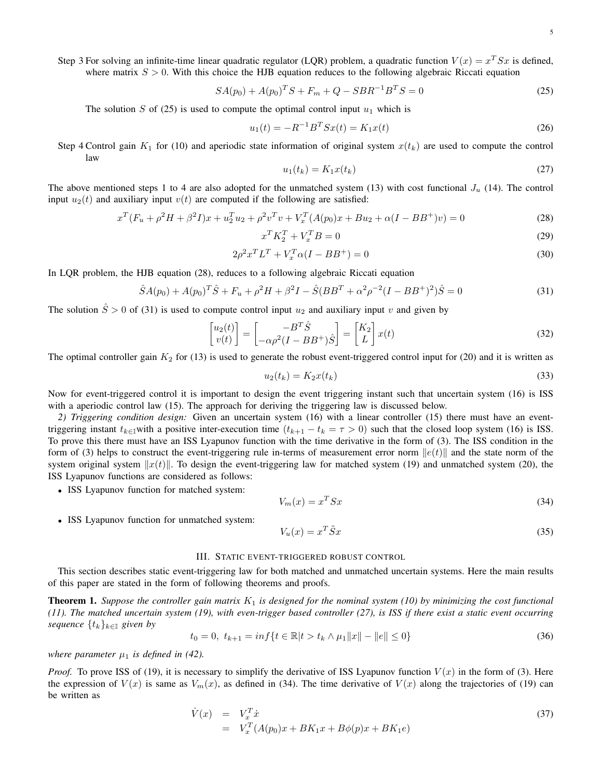Step 3 For solving an infinite-time linear quadratic regulator (LQR) problem, a quadratic function  $V(x) = x^T S x$  is defined, where matrix  $S > 0$ . With this choice the HJB equation reduces to the following algebraic Riccati equation

$$
SA(p_0) + A(p_0)^T S + F_m + Q - SBR^{-1}B^T S = 0
$$
\n(25)

The solution S of (25) is used to compute the optimal control input  $u_1$  which is

$$
u_1(t) = -R^{-1}B^T S x(t) = K_1 x(t)
$$
\n(26)

Step 4 Control gain  $K_1$  for (10) and aperiodic state information of original system  $x(t_k)$  are used to compute the control law

$$
u_1(t_k) = K_1 x(t_k) \tag{27}
$$

The above mentioned steps 1 to 4 are also adopted for the unmatched system (13) with cost functional  $J_u$  (14). The control input  $u_2(t)$  and auxiliary input  $v(t)$  are computed if the following are satisfied:

$$
x^{T}(F_{u} + \rho^{2}H + \beta^{2}I)x + u_{2}^{T}u_{2} + \rho^{2}v^{T}v + V_{x}^{T}(A(p_{0})x + Bu_{2} + \alpha(I - BB^{+})v) = 0
$$
\n(28)

$$
x^T K_2^T + V_x^T B = 0 \tag{29}
$$

$$
2\rho^2 x^T L^T + V_x^T \alpha (I - BB^+) = 0 \tag{30}
$$

In LQR problem, the HJB equation (28), reduces to a following algebraic Riccati equation

$$
\hat{S}A(p_0) + A(p_0)^T \hat{S} + F_u + \rho^2 H + \beta^2 I - \hat{S}(BB^T + \alpha^2 \rho^{-2} (I - BB^+)^2) \hat{S} = 0
$$
\n(31)

The solution  $\hat{S} > 0$  of (31) is used to compute control input  $u_2$  and auxiliary input v and given by

$$
\begin{bmatrix} u_2(t) \\ v(t) \end{bmatrix} = \begin{bmatrix} -B^T \hat{S} \\ -\alpha \rho^2 (I - BB^+) \hat{S} \end{bmatrix} = \begin{bmatrix} K_2 \\ L \end{bmatrix} x(t)
$$
\n(32)

The optimal controller gain  $K_2$  for (13) is used to generate the robust event-triggered control input for (20) and it is written as

$$
u_2(t_k) = K_2 x(t_k) \tag{33}
$$

Now for event-triggered control it is important to design the event triggering instant such that uncertain system (16) is ISS with a aperiodic control law (15). The approach for deriving the triggering law is discussed below.

*2) Triggering condition design:* Given an uncertain system (16) with a linear controller (15) there must have an eventtriggering instant  $t_{k\in I}$ with a positive inter-execution time  $(t_{k+1} - t_k = \tau > 0)$  such that the closed loop system (16) is ISS. To prove this there must have an ISS Lyapunov function with the time derivative in the form of (3). The ISS condition in the form of (3) helps to construct the event-triggering rule in-terms of measurement error norm  $||e(t)||$  and the state norm of the system original system  $||x(t)||$ . To design the event-triggering law for matched system (19) and unmatched system (20), the ISS Lyapunov functions are considered as follows:

• ISS Lyapunov function for matched system:

$$
V_m(x) = x^T S x \tag{34}
$$

• ISS Lyapunov function for unmatched system:

$$
V_u(x) = x^T \tilde{S} x \tag{35}
$$

#### III. STATIC EVENT-TRIGGERED ROBUST CONTROL

This section describes static event-triggering law for both matched and unmatched uncertain systems. Here the main results of this paper are stated in the form of following theorems and proofs.

**Theorem 1.** Suppose the controller gain matrix  $K_1$  is designed for the nominal system (10) by minimizing the cost functional *(11). The matched uncertain system (19), with even-trigger based controller (27), is ISS if there exist a static event occurring sequence*  $\{t_k\}_{k\in\mathbb{I}}$  *given by* 

$$
t_0 = 0, \ t_{k+1} = \inf\{t \in \mathbb{R} | t > t_k \wedge \mu_1 \|x\| - \|e\| \le 0\}
$$
 (36)

*where parameter*  $\mu_1$  *is defined in (42).* 

*Proof.* To prove ISS of (19), it is necessary to simplify the derivative of ISS Lyapunov function  $V(x)$  in the form of (3). Here the expression of  $V(x)$  is same as  $V_m(x)$ , as defined in (34). The time derivative of  $V(x)$  along the trajectories of (19) can be written as

$$
\dot{V}(x) = V_x^T \dot{x} \n= V_x^T (A(p_0)x + BK_1x + B\phi(p)x + BK_1e)
$$
\n(37)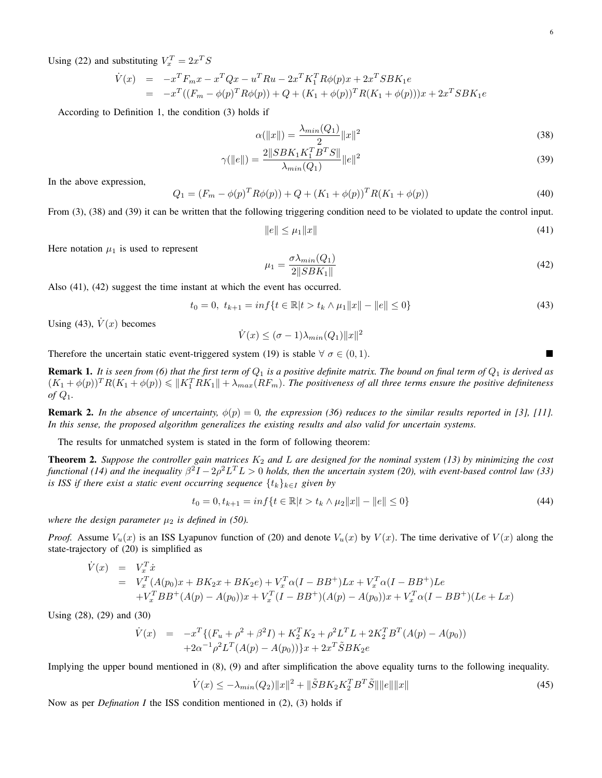Using (22) and substituting  $V_x^T = 2x^T S$ 

$$
\dot{V}(x) = -x^T F_m x - x^T Q x - u^T R u - 2x^T K_1^T R \phi(p) x + 2x^T S B K_1 e
$$
  
= 
$$
-x^T ((F_m - \phi(p)^T R \phi(p)) + Q + (K_1 + \phi(p))^T R (K_1 + \phi(p))) x + 2x^T S B K_1 e
$$

According to Definition 1, the condition (3) holds if

$$
\alpha(\|x\|) = \frac{\lambda_{min}(Q_1)}{2} \|x\|^2
$$
\n(38)

$$
\gamma(\|e\|) = \frac{2\|SBK_1K_1^T B^T S\|}{\lambda_{min}(Q_1)} \|e\|^2
$$
\n(39)

In the above expression,

$$
Q_1 = (F_m - \phi(p)^T R \phi(p)) + Q + (K_1 + \phi(p))^T R (K_1 + \phi(p))
$$
\n(40)

From (3), (38) and (39) it can be written that the following triggering condition need to be violated to update the control input.

$$
\|e\| \le \mu_1 \|x\| \tag{41}
$$

Here notation  $\mu_1$  is used to represent

$$
\mu_1 = \frac{\sigma \lambda_{min}(Q_1)}{2||SBK_1||} \tag{42}
$$

Also (41), (42) suggest the time instant at which the event has occurred.

$$
t_0 = 0, \ t_{k+1} = \inf\{t \in \mathbb{R} | t > t_k \wedge \mu_1 \|x\| - \|e\| \le 0\}
$$
 (43)

Using (43),  $\dot{V}(x)$  becomes

$$
\dot{V}(x) \leq (\sigma - 1)\lambda_{min}(Q_1) ||x||^2
$$

Therefore the uncertain static event-triggered system (19) is stable  $\forall \sigma \in (0,1)$ .

**Remark 1.** It is seen from (6) that the first term of  $Q_1$  is a positive definite matrix. The bound on final term of  $Q_1$  is derived as  $(K_1+\phi(p))^T R(K_1+\phi(p)) \leqslant ||K_1^T R K_1||+\lambda_{max}(R F_m)$ . The positiveness of all three terms ensure the positive definiteness *of* Q1*.*

**Remark 2.** In the absence of uncertainty,  $\phi(p) = 0$ , the expression (36) reduces to the similar results reported in [3], [11]. *In this sense, the proposed algorithm generalizes the existing results and also valid for uncertain systems.*

The results for unmatched system is stated in the form of following theorem:

**Theorem 2.** Suppose the controller gain matrices  $K_2$  and  $L$  are designed for the nominal system (13) by minimizing the cost functional (14) and the inequality  $\beta^2 I - 2\rho^2 L^T L > 0$  holds, then the uncertain system (20), with event-based control law (33) *is ISS if there exist a static event occurring sequence*  $\{t_k\}_{k\in I}$  *given by* 

$$
t_0 = 0, t_{k+1} = \inf\{t \in \mathbb{R} | t > t_k \land \mu_2 \|x\| - \|e\| \le 0\}
$$
\n
$$
(44)
$$

*where the design parameter*  $\mu_2$  *is defined in (50).* 

*Proof.* Assume  $V_u(x)$  is an ISS Lyapunov function of (20) and denote  $V_u(x)$  by  $V(x)$ . The time derivative of  $V(x)$  along the state-trajectory of (20) is simplified as

$$
\dot{V}(x) = V_x^T \dot{x}
$$
\n
$$
= V_x^T (A(p_0)x + BK_2x + BK_2e) + V_x^T \alpha (I - BB^+)Lx + V_x^T \alpha (I - BB^+)Le
$$
\n
$$
+ V_x^T BB^+ (A(p) - A(p_0))x + V_x^T (I - BB^+) (A(p) - A(p_0))x + V_x^T \alpha (I - BB^+) (Le + Lx)
$$

Using (28), (29) and (30)

$$
\dot{V}(x) = -x^T \{ (F_u + \rho^2 + \beta^2 I) + K_2^T K_2 + \rho^2 L^T L + 2K_2^T B^T (A(p) - A(p_0)) + 2\alpha^{-1} \rho^2 L^T (A(p) - A(p_0)) \} x + 2x^T \tilde{S} B K_2 e
$$

Implying the upper bound mentioned in (8), (9) and after simplification the above equality turns to the following inequality.

$$
\dot{V}(x) \le -\lambda_{min}(Q_2) \|x\|^2 + \|\tilde{S}BK_2K_2^T B^T \tilde{S}\| \|e\| \|x\| \tag{45}
$$

Now as per *Defination I* the ISS condition mentioned in (2), (3) holds if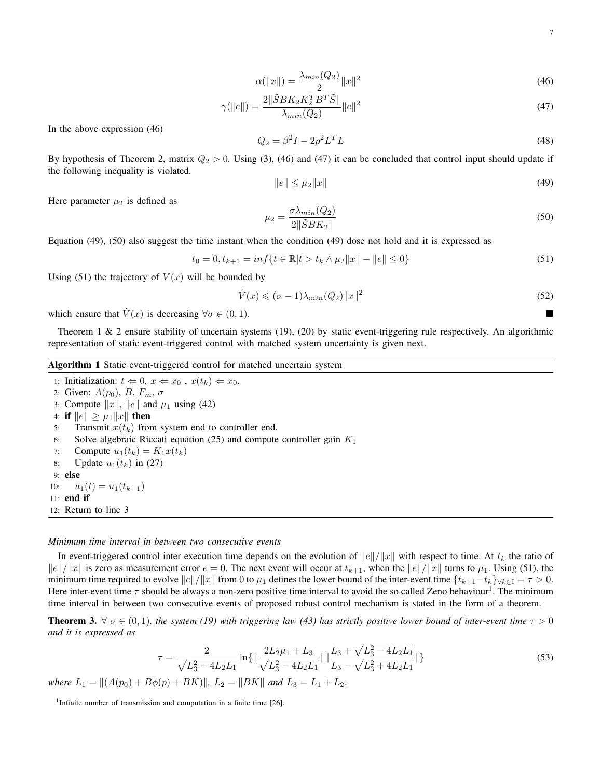7

$$
\alpha(\|x\|) = \frac{\lambda_{min}(Q_2)}{2} \|x\|^2
$$
\n(46)

$$
\gamma(\|e\|) = \frac{2\|\tilde{S}BK_2K_2^T B^T \tilde{S}\|}{\lambda_{min}(Q_2)} \|e\|^2
$$
\n(47)

In the above expression (46)

$$
Q_2 = \beta^2 I - 2\rho^2 L^T L \tag{48}
$$

By hypothesis of Theorem 2, matrix  $Q_2 > 0$ . Using (3), (46) and (47) it can be concluded that control input should update if the following inequality is violated.

$$
\|e\| \le \mu_2 \|x\| \tag{49}
$$

Here parameter  $\mu_2$  is defined as

$$
\mu_2 = \frac{\sigma \lambda_{min}(Q_2)}{2\|\tilde{S}BK_2\|}\tag{50}
$$

Equation (49), (50) also suggest the time instant when the condition (49) dose not hold and it is expressed as

$$
t_0 = 0, t_{k+1} = \inf\{t \in \mathbb{R} | t > t_k \land \mu_2 \|x\| - \|e\| \le 0\}
$$
\n
$$
(51)
$$

Using (51) the trajectory of  $V(x)$  will be bounded by

$$
\dot{V}(x) \leqslant (\sigma - 1)\lambda_{\min}(Q_2) \|x\|^2 \tag{52}
$$

which ensure that  $\dot{V}(x)$  is decreasing  $\forall \sigma \in (0,1)$ .

Theorem 1  $\&$  2 ensure stability of uncertain systems (19), (20) by static event-triggering rule respectively. An algorithmic representation of static event-triggered control with matched system uncertainty is given next.

# Algorithm 1 Static event-triggered control for matched uncertain system

1: Initialization:  $t \Leftarrow 0$ ,  $x \Leftarrow x_0$ ,  $x(t_k) \Leftarrow x_0$ . 2: Given:  $A(p_0)$ , B,  $F_m$ ,  $\sigma$ 3: Compute  $||x||$ ,  $||e||$  and  $\mu_1$  using (42) 4: if  $||e|| \geq \mu_1 ||x||$  then 5: Transmit  $x(t_k)$  from system end to controller end. 6: Solve algebraic Riccati equation (25) and compute controller gain  $K_1$ 7: Compute  $u_1(t_k) = K_1 x(t_k)$ 8: Update  $u_1(t_k)$  in (27) 9: else 10:  $u_1(t) = u_1(t_{k-1})$ 11: end if 12: Return to line 3

#### *Minimum time interval in between two consecutive events*

In event-triggered control inter execution time depends on the evolution of  $||e||/||x||$  with respect to time. At  $t_k$  the ratio of  $\|e\|/\|x\|$  is zero as measurement error  $e = 0$ . The next event will occur at  $t_{k+1}$ , when the  $\|e\|/\|x\|$  turns to  $\mu_1$ . Using (51), the minimum time required to evolve  $||e||/||x||$  from 0 to  $\mu_1$  defines the lower bound of the inter-event time  $\{t_{k+1}-t_k\}_{\forall k\in\mathbb{I}} = \tau > 0$ . Here inter-event time  $\tau$  should be always a non-zero positive time interval to avoid the so called Zeno behaviour<sup>1</sup>. The minimum time interval in between two consecutive events of proposed robust control mechanism is stated in the form of a theorem.

**Theorem 3.**  $\forall \sigma \in (0,1)$ *, the system (19) with triggering law (43) has strictly positive lower bound of inter-event time*  $\tau > 0$ *and it is expressed as*

$$
\tau = \frac{2}{\sqrt{L_3^2 - 4L_2L_1}} \ln\{\|\frac{2L_2\mu_1 + L_3}{\sqrt{L_3^2 - 4L_2L_1}}\|\|\frac{L_3 + \sqrt{L_3^2 - 4L_2L_1}}{L_3 - \sqrt{L_3^2 + 4L_2L_1}}\|\}\
$$
\n(53)

*where*  $L_1 = ||(A(p_0) + B\phi(p) + BK)||$ ,  $L_2 = ||BK||$  *and*  $L_3 = L_1 + L_2$ .

<sup>1</sup>Infinite number of transmission and computation in a finite time [26].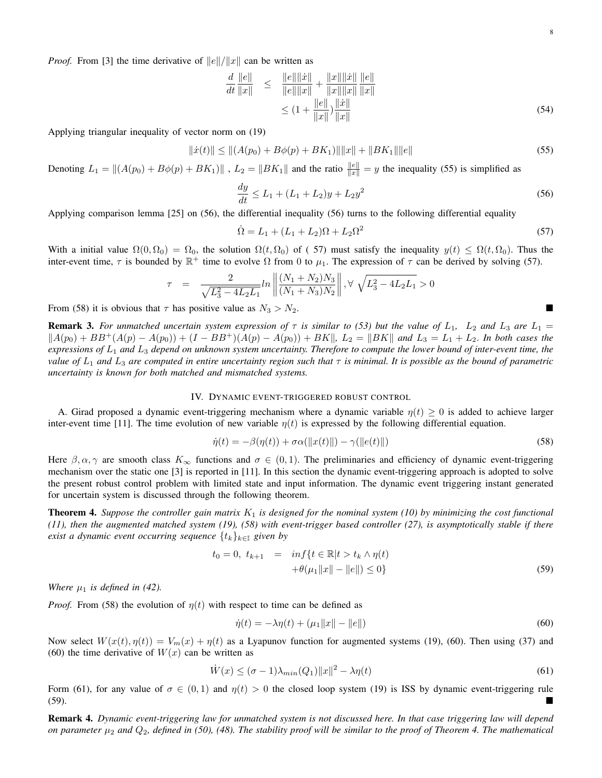*Proof.* From [3] the time derivative of  $||e||/||x||$  can be written as

$$
\frac{d}{dt} \frac{\|e\|}{\|x\|} \le \frac{\|e\| \|\dot{x}\|}{\|e\| \|x\|} + \frac{\|x\| \|\dot{x}\|}{\|x\| \|x\|} \frac{\|e\|}{\|x\|}
$$
\n
$$
\le (1 + \frac{\|e\|}{\|x\|}) \frac{\|\dot{x}\|}{\|x\|}
$$
\n(54)

Applying triangular inequality of vector norm on (19)

$$
\|\dot{x}(t)\| \le \|(A(p_0) + B\phi(p) + BK_1)\| \|x\| + \|BK_1\| \|e\| \tag{55}
$$

Denoting  $L_1 = ||(A(p_0) + B\phi(p) + BK_1)||$ ,  $L_2 = ||BK_1||$  and the ratio  $\frac{||e||}{||x||} = y$  the inequality (55) is simplified as

$$
\frac{dy}{dt} \le L_1 + (L_1 + L_2)y + L_2y^2 \tag{56}
$$

Applying comparison lemma [25] on (56), the differential inequality (56) turns to the following differential equality

$$
\dot{\Omega} = L_1 + (L_1 + L_2)\Omega + L_2\Omega^2
$$
\n(57)

With a initial value  $\Omega(0, \Omega_0) = \Omega_0$ , the solution  $\Omega(t, \Omega_0)$  of (57) must satisfy the inequality  $y(t) \leq \Omega(t, \Omega_0)$ . Thus the inter-event time,  $\tau$  is bounded by  $\mathbb{R}^+$  time to evolve  $\Omega$  from 0 to  $\mu_1$ . The expression of  $\tau$  can be derived by solving (57).

$$
\tau = \frac{2}{\sqrt{L_3^2 - 4L_2L_1}} ln \left\| \frac{(N_1 + N_2)N_3}{(N_1 + N_3)N_2} \right\|, \forall \sqrt{L_3^2 - 4L_2L_1} > 0
$$

From (58) it is obvious that  $\tau$  has positive value as  $N_3 > N_2$ .

**Remark 3.** For unmatched uncertain system expression of  $\tau$  is similar to (53) but the value of  $L_1$ ,  $L_2$  and  $L_3$  are  $L_1$  =  $||A(p_0) + BB^+(A(p) - A(p_0)) + (I - BB^+)(A(p) - A(p_0)) + BK||, L_2 = ||BK||$  and  $L_3 = L_1 + L_2$ . In both cases the *expressions of* L<sup>1</sup> *and* L<sup>3</sup> *depend on unknown system uncertainty. Therefore to compute the lower bound of inter-event time, the value of*  $L_1$  *and*  $L_3$  *are computed in entire uncertainty region such that*  $\tau$  *is minimal. It is possible as the bound of parametric uncertainty is known for both matched and mismatched systems.*

#### IV. DYNAMIC EVENT-TRIGGERED ROBUST CONTROL

A. Girad proposed a dynamic event-triggering mechanism where a dynamic variable  $n(t) \geq 0$  is added to achieve larger inter-event time [11]. The time evolution of new variable  $\eta(t)$  is expressed by the following differential equation.

$$
\dot{\eta}(t) = -\beta(\eta(t)) + \sigma\alpha(||x(t)||) - \gamma(||e(t)||)
$$
\n(58)

Here  $\beta, \alpha, \gamma$  are smooth class  $K_{\infty}$  functions and  $\sigma \in (0,1)$ . The preliminaries and efficiency of dynamic event-triggering mechanism over the static one [3] is reported in [11]. In this section the dynamic event-triggering approach is adopted to solve the present robust control problem with limited state and input information. The dynamic event triggering instant generated for uncertain system is discussed through the following theorem.

**Theorem 4.** Suppose the controller gain matrix  $K_1$  is designed for the nominal system (10) by minimizing the cost functional *(11), then the augmented matched system (19), (58) with event-trigger based controller (27), is asymptotically stable if there exist a dynamic event occurring sequence*  $\{t_k\}_{k\in\mathbb{I}}$  *given by* 

$$
t_0 = 0, \ t_{k+1} = \inf \{ t \in \mathbb{R} | t > t_k \wedge \eta(t) + \theta(\mu_1 \|x\| - \|e\|) \le 0 \}
$$
 (59)

*Where*  $\mu_1$  *is defined in (42).* 

*Proof.* From (58) the evolution of  $\eta(t)$  with respect to time can be defined as

$$
\dot{\eta}(t) = -\lambda \eta(t) + (\mu_1 \|x\| - \|e\|) \tag{60}
$$

Now select  $W(x(t), \eta(t)) = V_m(x) + \eta(t)$  as a Lyapunov function for augmented systems (19), (60). Then using (37) and (60) the time derivative of  $W(x)$  can be written as

$$
\dot{W}(x) \leq (\sigma - 1)\lambda_{\min}(Q_1) \|x\|^2 - \lambda \eta(t)
$$
\n
$$
(61)
$$

Form (61), for any value of  $\sigma \in (0,1)$  and  $\eta(t) > 0$  the closed loop system (19) is ISS by dynamic event-triggering rule  $(59)$ .

Remark 4. *Dynamic event-triggering law for unmatched system is not discussed here. In that case triggering law will depend on parameter*  $\mu_2$  *and*  $Q_2$ *, defined in (50), (48). The stability proof will be similar to the proof of Theorem 4. The mathematical*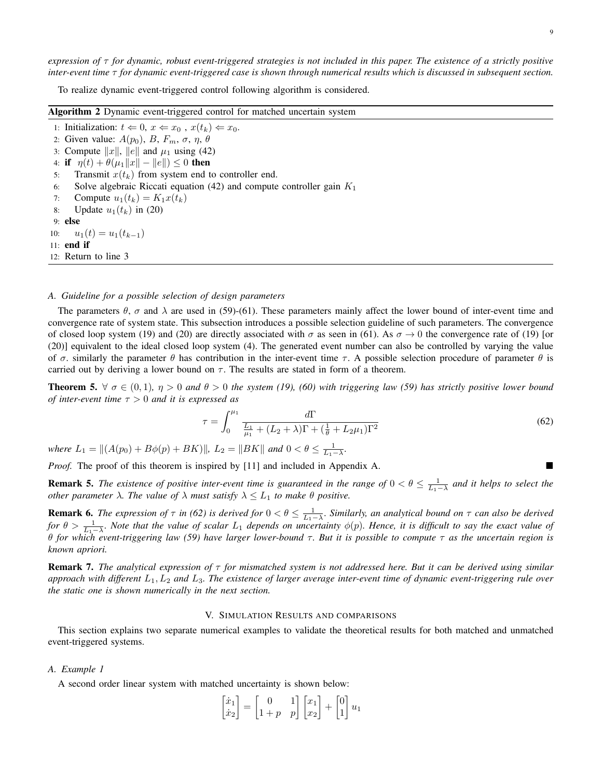*expression of* τ *for dynamic, robust event-triggered strategies is not included in this paper. The existence of a strictly positive inter-event time* τ *for dynamic event-triggered case is shown through numerical results which is discussed in subsequent section.*

To realize dynamic event-triggered control following algorithm is considered.

| <b>Algorithm 2</b> Dynamic event-triggered control for matched uncertain system      |  |  |  |  |  |
|--------------------------------------------------------------------------------------|--|--|--|--|--|
| 1: Initialization: $t \Leftarrow 0$ , $x \Leftarrow x_0$ , $x(t_k) \Leftarrow x_0$ . |  |  |  |  |  |
| 2: Given value: $A(p_0)$ , B, $F_m$ , $\sigma$ , $\eta$ , $\theta$                   |  |  |  |  |  |
| 3: Compute $  x  $ , $  e  $ and $\mu_1$ using (42)                                  |  |  |  |  |  |
| 4: if $\eta(t) + \theta(\mu_1   x   -   e  ) \leq 0$ then                            |  |  |  |  |  |
| Transmit $x(t_k)$ from system end to controller end.<br>5:                           |  |  |  |  |  |
| Solve algebraic Riccati equation (42) and compute controller gain $K_1$<br>6:        |  |  |  |  |  |
| 7: Compute $u_1(t_k) = K_1 x(t_k)$                                                   |  |  |  |  |  |
| 8: Update $u_1(t_k)$ in (20)                                                         |  |  |  |  |  |
| $9:$ else                                                                            |  |  |  |  |  |
| 10: $u_1(t) = u_1(t_{k-1})$                                                          |  |  |  |  |  |
| $11:$ end if                                                                         |  |  |  |  |  |
| 12: Return to line 3                                                                 |  |  |  |  |  |

# *A. Guideline for a possible selection of design parameters*

The parameters  $\theta$ ,  $\sigma$  and  $\lambda$  are used in (59)-(61). These parameters mainly affect the lower bound of inter-event time and convergence rate of system state. This subsection introduces a possible selection guideline of such parameters. The convergence of closed loop system (19) and (20) are directly associated with  $\sigma$  as seen in (61). As  $\sigma \to 0$  the convergence rate of (19) [or (20)] equivalent to the ideal closed loop system (4). The generated event number can also be controlled by varying the value of  $\sigma$ , similarly the parameter  $\theta$  has contribution in the inter-event time  $\tau$ . A possible selection procedure of parameter  $\theta$  is carried out by deriving a lower bound on  $\tau$ . The results are stated in form of a theorem.

**Theorem 5.**  $\forall \sigma \in (0,1)$ ,  $\eta > 0$  and  $\theta > 0$  the system (19), (60) with triggering law (59) has strictly positive lower bound *of inter-event time* τ > 0 *and it is expressed as*

$$
\tau = \int_0^{\mu_1} \frac{d\Gamma}{\frac{L_1}{\mu_1} + (L_2 + \lambda)\Gamma + (\frac{1}{\theta} + L_2\mu_1)\Gamma^2}
$$
(62)

*where*  $L_1 = ||(A(p_0) + B\phi(p) + BK)||$ ,  $L_2 = ||BK||$  and  $0 < \theta \le \frac{1}{L_1 - \lambda}$ .

*Proof.* The proof of this theorem is inspired by [11] and included in Appendix A.

**Remark 5.** The existence of positive inter-event time is guaranteed in the range of  $0 < \theta \leq \frac{1}{L_1-\lambda}$  and it helps to select the *other parameter*  $\lambda$ *. The value of*  $\lambda$  *must satisfy*  $\lambda \leq L_1$  *to make*  $\theta$  *positive.* 

**Remark 6.** The expression of  $\tau$  in (62) is derived for  $0 < \theta \leq \frac{1}{L_1-\lambda}$ . Similarly, an analytical bound on  $\tau$  can also be derived *for*  $\theta > \frac{1}{L_1 - \lambda}$ *. Note that the value of scalar*  $L_1$  *depends on uncertainty*  $\phi(p)$ *. Hence, it is difficult to say the exact value of* θ *for which event-triggering law (59) have larger lower-bound* τ *. But it is possible to compute* τ *as the uncertain region is known apriori.*

Remark 7. *The analytical expression of* τ *for mismatched system is not addressed here. But it can be derived using similar approach with different* L1, L<sup>2</sup> *and* L3*. The existence of larger average inter-event time of dynamic event-triggering rule over the static one is shown numerically in the next section.*

# V. SIMULATION RESULTS AND COMPARISONS

This section explains two separate numerical examples to validate the theoretical results for both matched and unmatched event-triggered systems.

## *A. Example 1*

A second order linear system with matched uncertainty is shown below:

$$
\begin{bmatrix} \dot{x}_1 \\ \dot{x}_2 \end{bmatrix} = \begin{bmatrix} 0 & 1 \\ 1+p & p \end{bmatrix} \begin{bmatrix} x_1 \\ x_2 \end{bmatrix} + \begin{bmatrix} 0 \\ 1 \end{bmatrix} u_1
$$

 $\overline{a}$   $\overline{b}$   $\overline{a}$   $\overline{a}$ 

 $\mathbb{R}^n$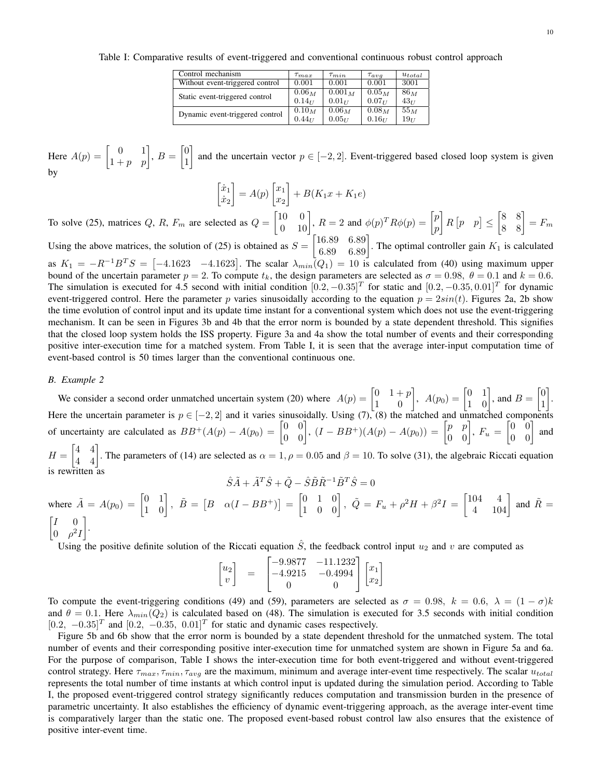Table I: Comparative results of event-triggered and conventional continuous robust control approach

| Control mechanism               | $\tau_{max}$ | $\tau_{min}$ | $\tau_{ava}$      | $u_{total}$     |
|---------------------------------|--------------|--------------|-------------------|-----------------|
| Without event-triggered control | 0.001        | 0.001        | 0.001             | 3001            |
| Static event-triggered control  | $0.06_M$     | $0.001_M$    | $0.05_M$          | $86_M$          |
|                                 | $0.14_{II}$  | $0.01_{II}$  | $0.07_{II}$       | 43 <sub>U</sub> |
| Dynamic event-triggered control | $0.10_M$     | $0.06_M$     | 0.08 <sub>M</sub> | $55_M$          |
|                                 | $0.44_{11}$  | $0.05_{11}$  | $0.16_{II}$       | $19_{II}$       |

Here  $A(p) = \begin{bmatrix} 0 & 1 \ 1+p & p \end{bmatrix}$ ,  $B = \begin{bmatrix} 0 & 1 \ 1 & 1 \end{bmatrix}$ 1 and the uncertain vector  $p \in [-2, 2]$ . Event-triggered based closed loop system is given by

$$
\begin{bmatrix} \dot{x}_1 \\ \dot{x}_2 \end{bmatrix} = A(p) \begin{bmatrix} x_1 \\ x_2 \end{bmatrix} + B(K_1x + K_1e)
$$

To solve (25), matrices Q, R,  $F_m$  are selected as  $Q = \begin{bmatrix} 10 & 0 \\ 0 & 10 \end{bmatrix}$ ,  $R = 2$  and  $\phi(p)^T R \phi(p) = \begin{bmatrix} p \\ p \end{bmatrix}$ p  $R[p \mid p] \leq \begin{bmatrix} 8 & 8 \\ 8 & 8 \end{bmatrix} = F_m$ 

Using the above matrices, the solution of (25) is obtained as  $S = \begin{bmatrix} 16.89 & 6.89 \\ 6.89 & 6.89 \end{bmatrix}$ . The optimal controller gain  $K_1$  is calculated as  $K_1 = -R^{-1}B^TS = [-4.1623 \quad -4.1623]$ . The scalar  $\lambda_{min}(Q_1) = 10$  is calculated from (40) using maximum upper bound of the uncertain parameter  $p = 2$ . To compute  $t_k$ , the design parameters are selected as  $\sigma = 0.98$ ,  $\theta = 0.1$  and  $k = 0.6$ . The simulation is executed for 4.5 second with initial condition  $[0.2, -0.35]^T$  for static and  $[0.2, -0.35, 0.01]^T$  for dynamic event-triggered control. Here the parameter p varies sinusoidally according to the equation  $p = 2sin(t)$ . Figures 2a, 2b show the time evolution of control input and its update time instant for a conventional system which does not use the event-triggering mechanism. It can be seen in Figures 3b and 4b that the error norm is bounded by a state dependent threshold. This signifies that the closed loop system holds the ISS property. Figure 3a and 4a show the total number of events and their corresponding positive inter-execution time for a matched system. From Table I, it is seen that the average inter-input computation time of event-based control is 50 times larger than the conventional continuous one.

## *B. Example 2*

is rewritten as

We consider a second order unmatched uncertain system (20) where  $A(p) = \begin{bmatrix} 0 & 1+p \\ 1 & 0 \end{bmatrix}$ ,  $A(p_0) = \begin{bmatrix} 0 & 1 \\ 1 & 0 \end{bmatrix}$ , and  $B = \begin{bmatrix} 0 & 1 \\ 1 & 0 \end{bmatrix}$ 1 . Here the uncertain parameter is  $p \in [-2,2]$  and it varies sinusoidally. Using (7), (8) the matched and unmatched components of uncertainty are calculated as  $BB^+(A(p) - A(p_0) = \begin{bmatrix} 0 & 0 \\ 0 & 0 \end{bmatrix}$ ,  $(I - BB^+)(A(p) - A(p_0)) = \begin{bmatrix} p & p \\ 0 & 0 \end{bmatrix}$ ,  $F_u = \begin{bmatrix} 0 & 0 \\ 0 & 0 \end{bmatrix}$  and  $H = \begin{bmatrix} 4 & 4 \\ 4 & 4 \end{bmatrix}$ . The parameters of (14) are selected as  $\alpha = 1, \rho = 0.05$  and  $\beta = 10$ . To solve (31), the algebraic Riccati equation

$$
\hat{S}\tilde{A}+\tilde{A}^T\hat{S}+\tilde{Q}-\hat{S}\tilde{B}\tilde{R}^{-1}\tilde{B}^T\hat{S}=0
$$

where  $\tilde{A} = A(p_0) = \begin{bmatrix} 0 & 1 \\ 1 & 0 \end{bmatrix}$ ,  $\tilde{B} = \begin{bmatrix} B & \alpha(I - BB^+) \end{bmatrix} = \begin{bmatrix} 0 & 1 & 0 \\ 1 & 0 & 0 \end{bmatrix}$ ,  $\tilde{Q} = F_u + \rho^2 H + \beta^2 I = \begin{bmatrix} 104 & 4 \\ 4 & 104 \end{bmatrix}$  and  $\tilde{R} =$  $\begin{bmatrix} I & 0 \end{bmatrix}$  $0 \rho^2 I$ .

Using the positive definite solution of the Riccati equation  $\hat{S}$ , the feedback control input  $u_2$  and v are computed as

$$
\begin{bmatrix} u_2 \\ v \end{bmatrix} \quad = \quad \begin{bmatrix} -9.9877 & -11.1232 \\ -4.9215 & -0.4994 \\ 0 & 0 \end{bmatrix} \begin{bmatrix} x_1 \\ x_2 \end{bmatrix}
$$

To compute the event-triggering conditions (49) and (59), parameters are selected as  $\sigma = 0.98$ ,  $k = 0.6$ ,  $\lambda = (1 - \sigma)k$ and  $\theta = 0.1$ . Here  $\lambda_{min}(Q_2)$  is calculated based on (48). The simulation is executed for 3.5 seconds with initial condition  $[0.2, -0.35]^T$  and  $[0.2, -0.35, 0.01]^T$  for static and dynamic cases respectively.

Figure 5b and 6b show that the error norm is bounded by a state dependent threshold for the unmatched system. The total number of events and their corresponding positive inter-execution time for unmatched system are shown in Figure 5a and 6a. For the purpose of comparison, Table I shows the inter-execution time for both event-triggered and without event-triggered control strategy. Here  $\tau_{max}, \tau_{min}, \tau_{avg}$  are the maximum, minimum and average inter-event time respectively. The scalar  $u_{total}$ represents the total number of time instants at which control input is updated during the simulation period. According to Table I, the proposed event-triggered control strategy significantly reduces computation and transmission burden in the presence of parametric uncertainty. It also establishes the efficiency of dynamic event-triggering approach, as the average inter-event time is comparatively larger than the static one. The proposed event-based robust control law also ensures that the existence of positive inter-event time.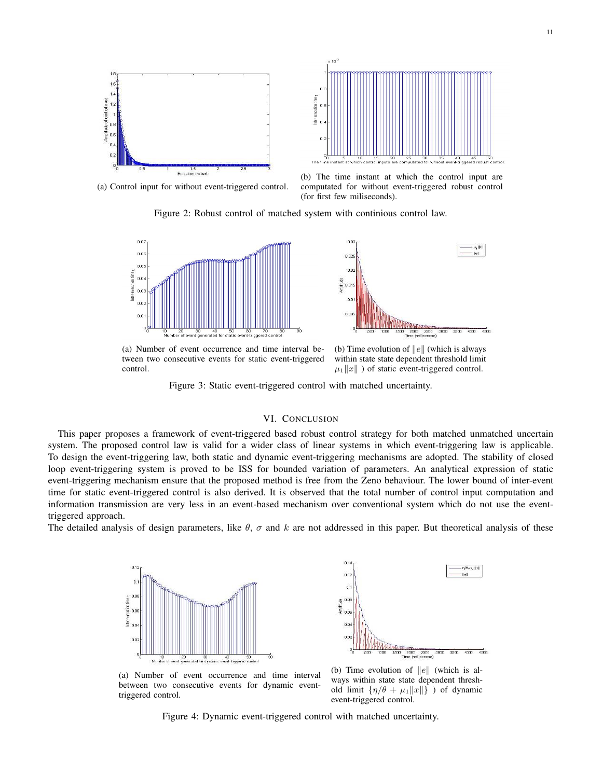

in  $0.3$ 

(a) Control input for without event-triggered control.



Figure 2: Robust control of matched system with continious control law.





(a) Number of event occurrence and time interval between two consecutive events for static event-triggered control.

(b) Time evolution of  $||e||$  (which is always within state state dependent threshold limit  $\mu_1||x||$  ) of static event-triggered control.

Figure 3: Static event-triggered control with matched uncertainty.

# VI. CONCLUSION

This paper proposes a framework of event-triggered based robust control strategy for both matched unmatched uncertain system. The proposed control law is valid for a wider class of linear systems in which event-triggering law is applicable. To design the event-triggering law, both static and dynamic event-triggering mechanisms are adopted. The stability of closed loop event-triggering system is proved to be ISS for bounded variation of parameters. An analytical expression of static event-triggering mechanism ensure that the proposed method is free from the Zeno behaviour. The lower bound of inter-event time for static event-triggered control is also derived. It is observed that the total number of control input computation and information transmission are very less in an event-based mechanism over conventional system which do not use the eventtriggered approach.

The detailed analysis of design parameters, like  $\theta$ ,  $\sigma$  and k are not addressed in this paper. But theoretical analysis of these



2500<br>Isecond)  $\frac{1}{2000}$  $\overline{x}$ (b) Time evolution of  $||e||$  (which is al-

(a) Number of event occurrence and time interval between two consecutive events for dynamic eventtriggered control.

ways within state state dependent threshold limit  $\{\eta/\theta + \mu_1||x||\}$  ) of dynamic event-triggered control.

Figure 4: Dynamic event-triggered control with matched uncertainty.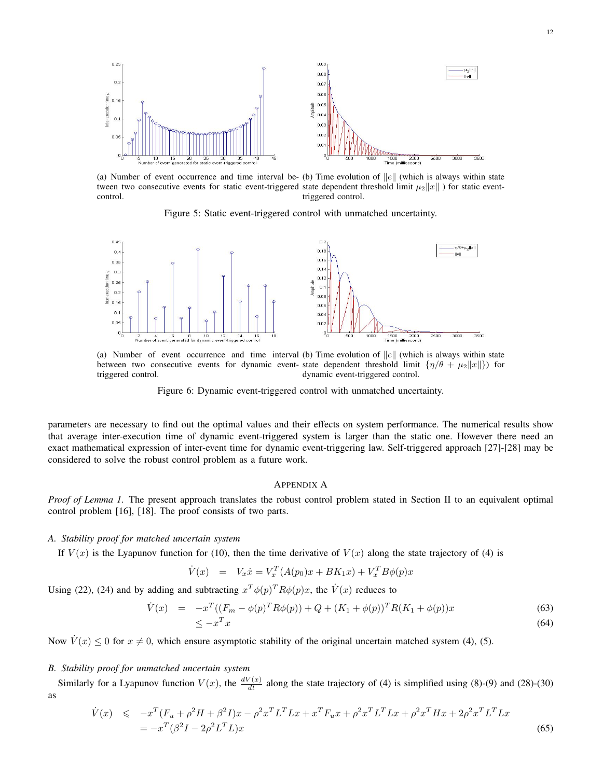

(a) Number of event occurrence and time interval be- (b) Time evolution of  $||e||$  (which is always within state tween two consecutive events for static event-triggered state dependent threshold limit  $\mu_2||x||$  ) for static eventcontrol. triggered control.

Figure 5: Static event-triggered control with unmatched uncertainty.



(a) Number of event occurrence and time interval (b) Time evolution of  $||e||$  (which is always within state between two consecutive events for dynamic event- state dependent threshold limit  $\{\eta/\theta + \mu_2 ||x||\}$  for triggered control. dynamic event-triggered control.



parameters are necessary to find out the optimal values and their effects on system performance. The numerical results show that average inter-execution time of dynamic event-triggered system is larger than the static one. However there need an exact mathematical expression of inter-event time for dynamic event-triggering law. Self-triggered approach [27]-[28] may be considered to solve the robust control problem as a future work.

## APPENDIX A

*Proof of Lemma 1.* The present approach translates the robust control problem stated in Section II to an equivalent optimal control problem [16], [18]. The proof consists of two parts.

### *A. Stability proof for matched uncertain system*

If  $V(x)$  is the Lyapunov function for (10), then the time derivative of  $V(x)$  along the state trajectory of (4) is

$$
\dot{V}(x) = V_x \dot{x} = V_x^T (A(p_0)x + BK_1 x) + V_x^T B \phi(p)x
$$

Using (22), (24) and by adding and subtracting  $x^T \phi(p)^T R \phi(p)x$ , the  $\dot{V}(x)$  reduces to

$$
\dot{V}(x) = -x^T((F_m - \phi(p)^T R\phi(p)) + Q + (K_1 + \phi(p))^T R (K_1 + \phi(p))x
$$
\n
$$
\leq -x^T x
$$
\n(64)

Now  $\dot{V}(x) \le 0$  for  $x \ne 0$ , which ensure asymptotic stability of the original uncertain matched system (4), (5).

# *B. Stability proof for unmatched uncertain system*

Similarly for a Lyapunov function  $V(x)$ , the  $\frac{dV(x)}{dt}$  along the state trajectory of (4) is simplified using (8)-(9) and (28)-(30) as

$$
\dot{V}(x) \leq -x^T (F_u + \rho^2 H + \beta^2 I)x - \rho^2 x^T L^T L x + x^T F_u x + \rho^2 x^T L^T L x + \rho^2 x^T H x + 2\rho^2 x^T L^T L x \n= -x^T (\beta^2 I - 2\rho^2 L^T L)x
$$
\n(65)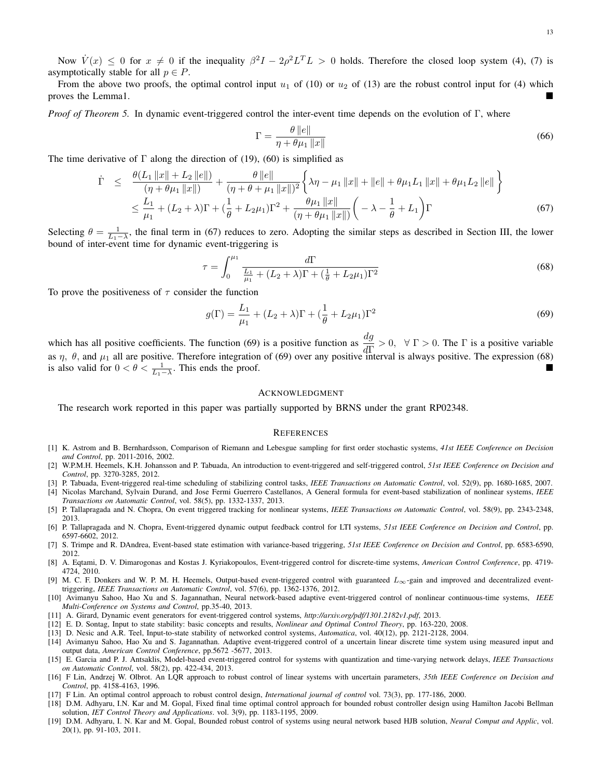Now  $\dot{V}(x) \le 0$  for  $x \ne 0$  if the inequality  $\beta^2 I - 2\rho^2 L^T L > 0$  holds. Therefore the closed loop system (4), (7) is asymptotically stable for all  $p \in P$ .

From the above two proofs, the optimal control input  $u_1$  of (10) or  $u_2$  of (13) are the robust control input for (4) which proves the Lemma1.

*Proof of Theorem 5.* In dynamic event-triggered control the inter-event time depends on the evolution of Γ, where

$$
\Gamma = \frac{\theta \, ||e||}{\eta + \theta \mu_1 \, ||x||} \tag{66}
$$

The time derivative of  $\Gamma$  along the direction of (19), (60) is simplified as

$$
\dot{\Gamma} \leq \frac{\theta(L_1 \|x\| + L_2 \|e\|)}{(\eta + \theta \mu_1 \|x\|)} + \frac{\theta \|e\|}{(\eta + \theta + \mu_1 \|x\|)^2} \left\{ \lambda \eta - \mu_1 \|x\| + \|e\| + \theta \mu_1 L_1 \|x\| + \theta \mu_1 L_2 \|e\| \right\}
$$
\n
$$
\leq \frac{L_1}{\mu_1} + (L_2 + \lambda) \Gamma + (\frac{1}{\theta} + L_2 \mu_1) \Gamma^2 + \frac{\theta \mu_1 \|x\|}{(\eta + \theta \mu_1 \|x\|)} \left( -\lambda - \frac{1}{\theta} + L_1 \right) \Gamma \tag{67}
$$

Selecting  $\theta = \frac{1}{L_1 - \lambda}$ , the final term in (67) reduces to zero. Adopting the similar steps as described in Section III, the lower bound of inter-event time for dynamic event-triggering is

$$
\tau = \int_0^{\mu_1} \frac{d\Gamma}{\frac{L_1}{\mu_1} + (L_2 + \lambda)\Gamma + (\frac{1}{\theta} + L_2\mu_1)\Gamma^2}
$$
(68)

To prove the positiveness of  $\tau$  consider the function

$$
g(\Gamma) = \frac{L_1}{\mu_1} + (L_2 + \lambda)\Gamma + (\frac{1}{\theta} + L_2\mu_1)\Gamma^2
$$
\n(69)

which has all positive coefficients. The function (69) is a positive function as  $\frac{dg}{d\Gamma} > 0$ ,  $\forall \Gamma > 0$ . The  $\Gamma$  is a positive variable as  $\eta$ ,  $\theta$ , and  $\mu_1$  all are positive. Therefore integration of (69) over any positive interval is always positive. The expression (68) is also valid for  $0 < \theta < \frac{1}{L_1 - \lambda}$ . This ends the proof.

## ACKNOWLEDGMENT

The research work reported in this paper was partially supported by BRNS under the grant RP02348.

## **REFERENCES**

- [1] K. Astrom and B. Bernhardsson, Comparison of Riemann and Lebesgue sampling for first order stochastic systems, *41st IEEE Conference on Decision and Control*, pp. 2011-2016, 2002.
- [2] W.P.M.H. Heemels, K.H. Johansson and P. Tabuada, An introduction to event-triggered and self-triggered control, *51st IEEE Conference on Decision and Control*, pp. 3270-3285, 2012.
- [3] P. Tabuada, Event-triggered real-time scheduling of stabilizing control tasks, *IEEE Transactions on Automatic Control*, vol. 52(9), pp. 1680-1685, 2007. [4] Nicolas Marchand, Sylvain Durand, and Jose Fermi Guerrero Castellanos, A General formula for event-based stabilization of nonlinear systems, *IEEE Transactions on Automatic Control*, vol. 58(5), pp. 1332-1337, 2013.
- [5] P. Tallapragada and N. Chopra, On event triggered tracking for nonlinear systems, *IEEE Transactions on Automatic Control*, vol. 58(9), pp. 2343-2348, 2013.
- [6] P. Tallapragada and N. Chopra, Event-triggered dynamic output feedback control for LTI systems, *51st IEEE Conference on Decision and Control*, pp. 6597-6602, 2012.
- [7] S. Trimpe and R. DAndrea, Event-based state estimation with variance-based triggering, *51st IEEE Conference on Decision and Control*, pp. 6583-6590, 2012.
- [8] A. Eqtami, D. V. Dimarogonas and Kostas J. Kyriakopoulos, Event-triggered control for discrete-time systems, *American Control Conference*, pp. 4719- 4724, 2010.
- [9] M. C. F. Donkers and W. P. M. H. Heemels, Output-based event-triggered control with guaranteed  $L_{\infty}$ -gain and improved and decentralized eventtriggering, *IEEE Transactions on Automatic Control*, vol. 57(6), pp. 1362-1376, 2012.
- [10] Avimanyu Sahoo, Hao Xu and S. Jagannathan, Neural network-based adaptive event-triggered control of nonlinear continuous-time systems, *IEEE Multi-Conference on Systems and Control*, pp.35-40, 2013.
- [11] A. Girard, Dynamic event generators for event-triggered control systems, *http://arxiv.org/pdf/1301.2182v1.pdf*, 2013.
- [12] E. D. Sontag, Input to state stability: basic concepts and results, *Nonlinear and Optimal Control Theory*, pp. 163-220, 2008.
- [13] D. Nesic and A.R. Teel, Input-to-state stability of networked control systems, *Automatica*, vol. 40(12), pp. 2121-2128, 2004.
- [14] Avimanyu Sahoo, Hao Xu and S. Jagannathan. Adaptive event-triggered control of a uncertain linear discrete time system using measured input and output data, *American Control Conference*, pp.5672 -5677, 2013.
- [15] E. Garcia and P. J. Antsaklis, Model-based event-triggered control for systems with quantization and time-varying network delays, *IEEE Transactions on Automatic Control*, vol. 58(2), pp. 422-434, 2013.
- [16] F Lin, Andrzej W. Olbrot. An LQR approach to robust control of linear systems with uncertain parameters, *35th IEEE Conference on Decision and Control*, pp. 4158-4163, 1996.
- [17] F Lin. An optimal control approach to robust control design, *International journal of control* vol. 73(3), pp. 177-186, 2000.
- [18] D.M. Adhyaru, I.N. Kar and M. Gopal, Fixed final time optimal control approach for bounded robust controller design using Hamilton Jacobi Bellman solution, *IET Control Theory and Applications*. vol. 3(9), pp. 1183-1195, 2009.
- [19] D.M. Adhyaru, I. N. Kar and M. Gopal, Bounded robust control of systems using neural network based HJB solution, *Neural Comput and Applic*, vol. 20(1), pp. 91-103, 2011.